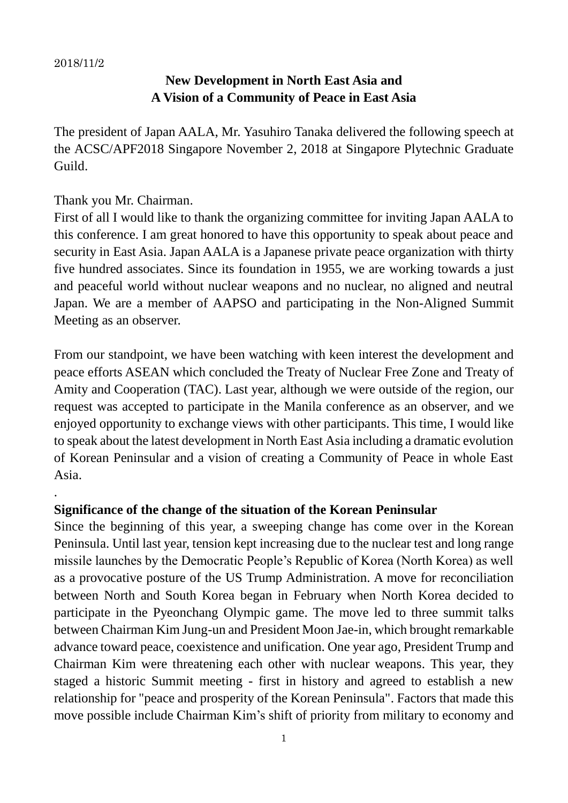.

## **New Development in North East Asia and A Vision of a Community of Peace in East Asia**

The president of Japan AALA, Mr. Yasuhiro Tanaka delivered the following speech at the ACSC/APF2018 Singapore November 2, 2018 at Singapore Plytechnic Graduate Guild.

## Thank you Mr. Chairman.

First of all I would like to thank the organizing committee for inviting Japan AALA to this conference. I am great honored to have this opportunity to speak about peace and security in East Asia. Japan AALA is a Japanese private peace organization with thirty five hundred associates. Since its foundation in 1955, we are working towards a just and peaceful world without nuclear weapons and no nuclear, no aligned and neutral Japan. We are a member of AAPSO and participating in the Non-Aligned Summit Meeting as an observer.

From our standpoint, we have been watching with keen interest the development and peace efforts ASEAN which concluded the Treaty of Nuclear Free Zone and Treaty of Amity and Cooperation (TAC). Last year, although we were outside of the region, our request was accepted to participate in the Manila conference as an observer, and we enjoyed opportunity to exchange views with other participants. This time, I would like to speak about the latest development in North East Asia including a dramatic evolution of Korean Peninsular and a vision of creating a Community of Peace in whole East Asia.

## **Significance of the change of the situation of the Korean Peninsular**

Since the beginning of this year, a sweeping change has come over in the Korean Peninsula. Until last year, tension kept increasing due to the nuclear test and long range missile launches by the Democratic People's Republic of Korea (North Korea) as well as a provocative posture of the US Trump Administration. A move for reconciliation between North and South Korea began in February when North Korea decided to participate in the Pyeonchang Olympic game. The move led to three summit talks between Chairman Kim Jung-un and President Moon Jae-in, which brought remarkable advance toward peace, coexistence and unification. One year ago, President Trump and Chairman Kim were threatening each other with nuclear weapons. This year, they staged a historic Summit meeting - first in history and agreed to establish a new relationship for "peace and prosperity of the Korean Peninsula". Factors that made this move possible include Chairman Kim's shift of priority from military to economy and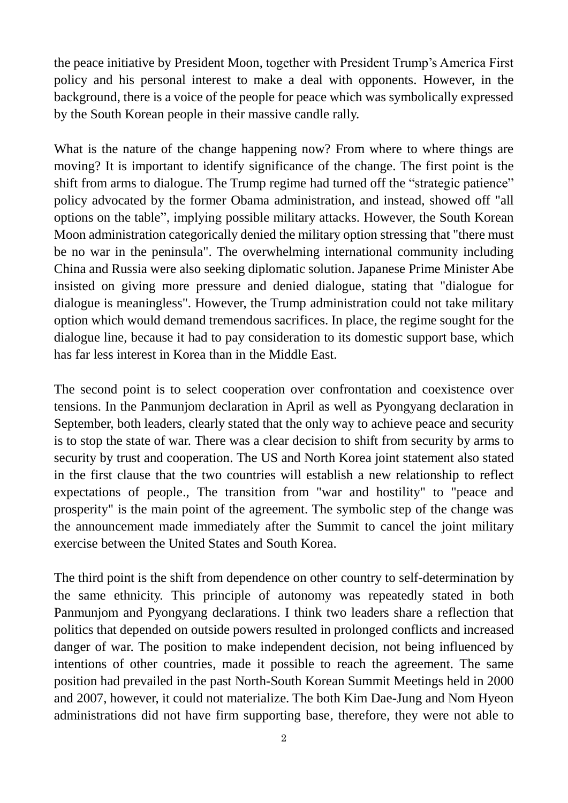the peace initiative by President Moon, together with President Trump's America First policy and his personal interest to make a deal with opponents. However, in the background, there is a voice of the people for peace which was symbolically expressed by the South Korean people in their massive candle rally.

What is the nature of the change happening now? From where to where things are moving? It is important to identify significance of the change. The first point is the shift from arms to dialogue. The Trump regime had turned off the "strategic patience" policy advocated by the former Obama administration, and instead, showed off "all options on the table", implying possible military attacks. However, the South Korean Moon administration categorically denied the military option stressing that "there must be no war in the peninsula". The overwhelming international community including China and Russia were also seeking diplomatic solution. Japanese Prime Minister Abe insisted on giving more pressure and denied dialogue, stating that "dialogue for dialogue is meaningless". However, the Trump administration could not take military option which would demand tremendous sacrifices. In place, the regime sought for the dialogue line, because it had to pay consideration to its domestic support base, which has far less interest in Korea than in the Middle East.

The second point is to select cooperation over confrontation and coexistence over tensions. In the Panmunjom declaration in April as well as Pyongyang declaration in September, both leaders, clearly stated that the only way to achieve peace and security is to stop the state of war. There was a clear decision to shift from security by arms to security by trust and cooperation. The US and North Korea joint statement also stated in the first clause that the two countries will establish a new relationship to reflect expectations of people., The transition from "war and hostility" to "peace and prosperity" is the main point of the agreement. The symbolic step of the change was the announcement made immediately after the Summit to cancel the joint military exercise between the United States and South Korea.

The third point is the shift from dependence on other country to self-determination by the same ethnicity. This principle of autonomy was repeatedly stated in both Panmunjom and Pyongyang declarations. I think two leaders share a reflection that politics that depended on outside powers resulted in prolonged conflicts and increased danger of war. The position to make independent decision, not being influenced by intentions of other countries, made it possible to reach the agreement. The same position had prevailed in the past North-South Korean Summit Meetings held in 2000 and 2007, however, it could not materialize. The both Kim Dae-Jung and Nom Hyeon administrations did not have firm supporting base, therefore, they were not able to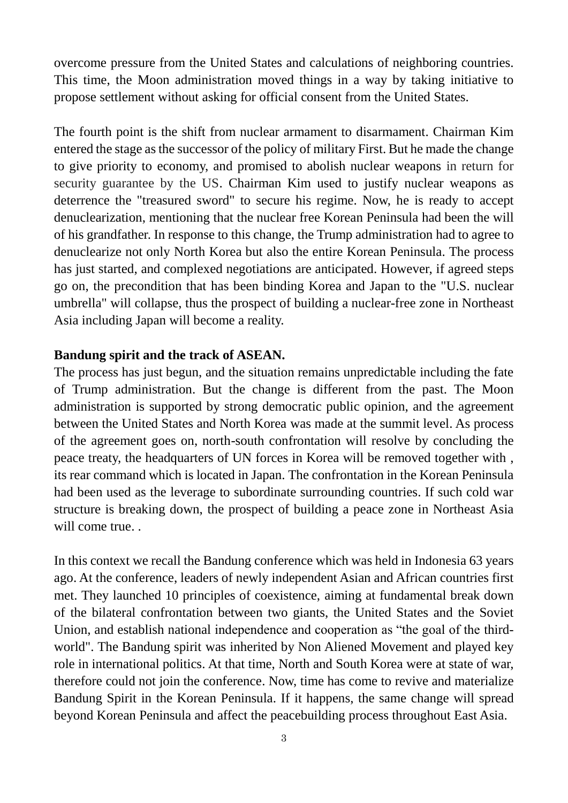overcome pressure from the United States and calculations of neighboring countries. This time, the Moon administration moved things in a way by taking initiative to propose settlement without asking for official consent from the United States.

The fourth point is the shift from nuclear armament to disarmament. Chairman Kim entered the stage as the successor of the policy of military First. But he made the change to give priority to economy, and promised to abolish nuclear weapons in return for security guarantee by the US. Chairman Kim used to justify nuclear weapons as deterrence the "treasured sword" to secure his regime. Now, he is ready to accept denuclearization, mentioning that the nuclear free Korean Peninsula had been the will of his grandfather. In response to this change, the Trump administration had to agree to denuclearize not only North Korea but also the entire Korean Peninsula. The process has just started, and complexed negotiations are anticipated. However, if agreed steps go on, the precondition that has been binding Korea and Japan to the "U.S. nuclear umbrella" will collapse, thus the prospect of building a nuclear-free zone in Northeast Asia including Japan will become a reality.

## **Bandung spirit and the track of ASEAN.**

The process has just begun, and the situation remains unpredictable including the fate of Trump administration. But the change is different from the past. The Moon administration is supported by strong democratic public opinion, and the agreement between the United States and North Korea was made at the summit level. As process of the agreement goes on, north-south confrontation will resolve by concluding the peace treaty, the headquarters of UN forces in Korea will be removed together with , its rear command which is located in Japan. The confrontation in the Korean Peninsula had been used as the leverage to subordinate surrounding countries. If such cold war structure is breaking down, the prospect of building a peace zone in Northeast Asia will come true...

In this context we recall the Bandung conference which was held in Indonesia 63 years ago. At the conference, leaders of newly independent Asian and African countries first met. They launched 10 principles of coexistence, aiming at fundamental break down of the bilateral confrontation between two giants, the United States and the Soviet Union, and establish national independence and cooperation as "the goal of the thirdworld". The Bandung spirit was inherited by Non Aliened Movement and played key role in international politics. At that time, North and South Korea were at state of war, therefore could not join the conference. Now, time has come to revive and materialize Bandung Spirit in the Korean Peninsula. If it happens, the same change will spread beyond Korean Peninsula and affect the peacebuilding process throughout East Asia.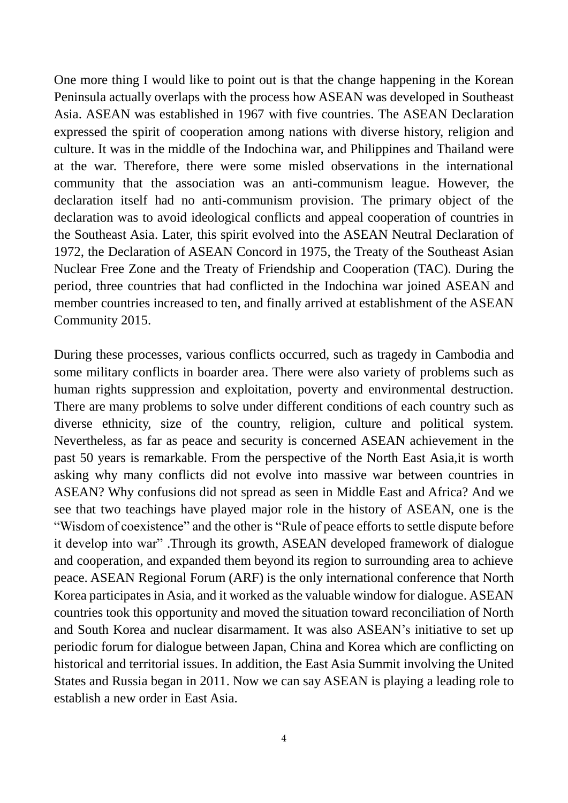One more thing I would like to point out is that the change happening in the Korean Peninsula actually overlaps with the process how ASEAN was developed in Southeast Asia. ASEAN was established in 1967 with five countries. The ASEAN Declaration expressed the spirit of cooperation among nations with diverse history, religion and culture. It was in the middle of the Indochina war, and Philippines and Thailand were at the war. Therefore, there were some misled observations in the international community that the association was an anti-communism league. However, the declaration itself had no anti-communism provision. The primary object of the declaration was to avoid ideological conflicts and appeal cooperation of countries in the Southeast Asia. Later, this spirit evolved into the ASEAN Neutral Declaration of 1972, the Declaration of ASEAN Concord in 1975, the Treaty of the Southeast Asian Nuclear Free Zone and the Treaty of Friendship and Cooperation (TAC). During the period, three countries that had conflicted in the Indochina war joined ASEAN and member countries increased to ten, and finally arrived at establishment of the ASEAN Community 2015.

During these processes, various conflicts occurred, such as tragedy in Cambodia and some military conflicts in boarder area. There were also variety of problems such as human rights suppression and exploitation, poverty and environmental destruction. There are many problems to solve under different conditions of each country such as diverse ethnicity, size of the country, religion, culture and political system. Nevertheless, as far as peace and security is concerned ASEAN achievement in the past 50 years is remarkable. From the perspective of the North East Asia,it is worth asking why many conflicts did not evolve into massive war between countries in ASEAN? Why confusions did not spread as seen in Middle East and Africa? And we see that two teachings have played major role in the history of ASEAN, one is the "Wisdom of coexistence" and the other is "Rule of peace efforts to settle dispute before it develop into war" .Through its growth, ASEAN developed framework of dialogue and cooperation, and expanded them beyond its region to surrounding area to achieve peace. ASEAN Regional Forum (ARF) is the only international conference that North Korea participates in Asia, and it worked as the valuable window for dialogue. ASEAN countries took this opportunity and moved the situation toward reconciliation of North and South Korea and nuclear disarmament. It was also ASEAN's initiative to set up periodic forum for dialogue between Japan, China and Korea which are conflicting on historical and territorial issues. In addition, the East Asia Summit involving the United States and Russia began in 2011. Now we can say ASEAN is playing a leading role to establish a new order in East Asia.